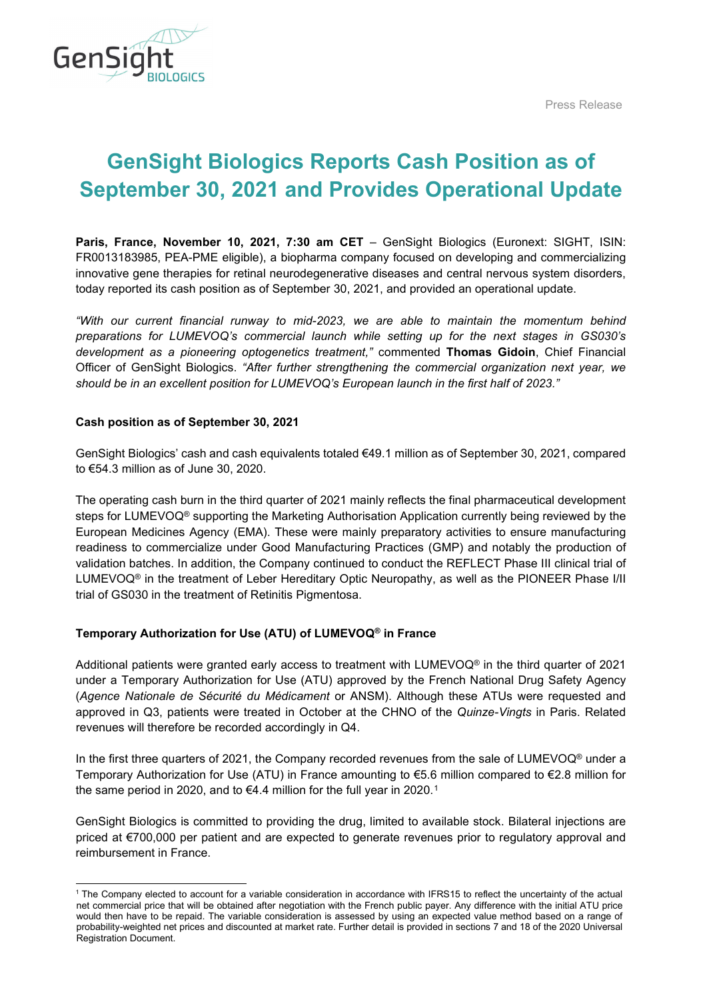

Press Release

# **GenSight Biologics Reports Cash Position as of September 30, 2021 and Provides Operational Update**

**Paris, France, November 10, 2021, 7:30 am CET** – GenSight Biologics (Euronext: SIGHT, ISIN: FR0013183985, PEA-PME eligible), a biopharma company focused on developing and commercializing innovative gene therapies for retinal neurodegenerative diseases and central nervous system disorders, today reported its cash position as of September 30, 2021, and provided an operational update.

*"With our current financial runway to mid-2023, we are able to maintain the momentum behind preparations for LUMEVOQ's commercial launch while setting up for the next stages in GS030's development as a pioneering optogenetics treatment,"* commented **Thomas Gidoin**, Chief Financial Officer of GenSight Biologics. *"After further strengthening the commercial organization next year, we should be in an excellent position for LUMEVOQ's European launch in the first half of 2023."*

# **Cash position as of September 30, 2021**

GenSight Biologics' cash and cash equivalents totaled €49.1 million as of September 30, 2021, compared to €54.3 million as of June 30, 2020.

The operating cash burn in the third quarter of 2021 mainly reflects the final pharmaceutical development steps for LUMEVOQ® supporting the Marketing Authorisation Application currently being reviewed by the European Medicines Agency (EMA). These were mainly preparatory activities to ensure manufacturing readiness to commercialize under Good Manufacturing Practices (GMP) and notably the production of validation batches. In addition, the Company continued to conduct the REFLECT Phase III clinical trial of LUMEVOQ® in the treatment of Leber Hereditary Optic Neuropathy, as well as the PIONEER Phase I/II trial of GS030 in the treatment of Retinitis Pigmentosa.

# **Temporary Authorization for Use (ATU) of LUMEVOQ® in France**

Additional patients were granted early access to treatment with LUMEVOQ® in the third quarter of 2021 under a Temporary Authorization for Use (ATU) approved by the French National Drug Safety Agency (*Agence Nationale de Sécurité du Médicament* or ANSM). Although these ATUs were requested and approved in Q3, patients were treated in October at the CHNO of the *Quinze-Vingts* in Paris. Related revenues will therefore be recorded accordingly in Q4.

In the first three quarters of 2021, the Company recorded revenues from the sale of LUMEVOQ<sup>®</sup> under a Temporary Authorization for Use (ATU) in France amounting to €5.6 million compared to €2.8 million for the same period in 2020, and to €4.4 million for the full year in 2020.<sup>[1](#page-0-0)</sup>

GenSight Biologics is committed to providing the drug, limited to available stock. Bilateral injections are priced at €700,000 per patient and are expected to generate revenues prior to regulatory approval and reimbursement in France.

<span id="page-0-0"></span><sup>1</sup> The Company elected to account for a variable consideration in accordance with IFRS15 to reflect the uncertainty of the actual net commercial price that will be obtained after negotiation with the French public payer. Any difference with the initial ATU price would then have to be repaid. The variable consideration is assessed by using an expected value method based on a range of probability-weighted net prices and discounted at market rate. Further detail is provided in sections 7 and 18 of the 2020 Universal Registration Document.